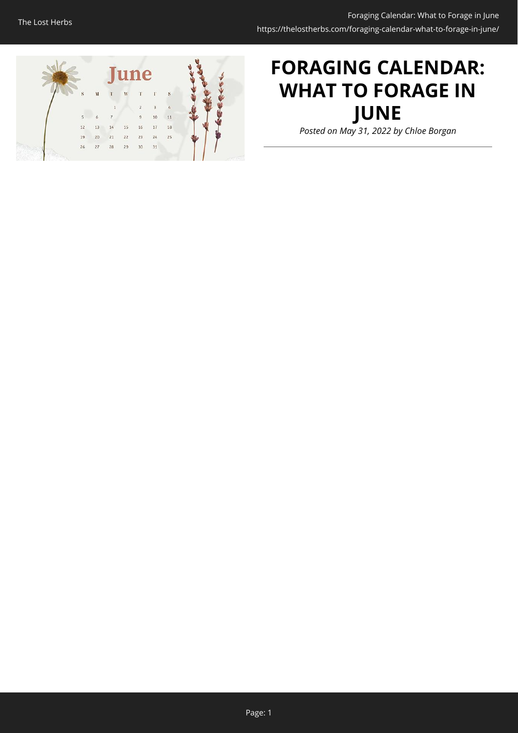

# **FORAGING CALENDAR: WHAT TO FORAGE IN JUNE**

*Posted on May 31, 2022 by Chloe Borgan*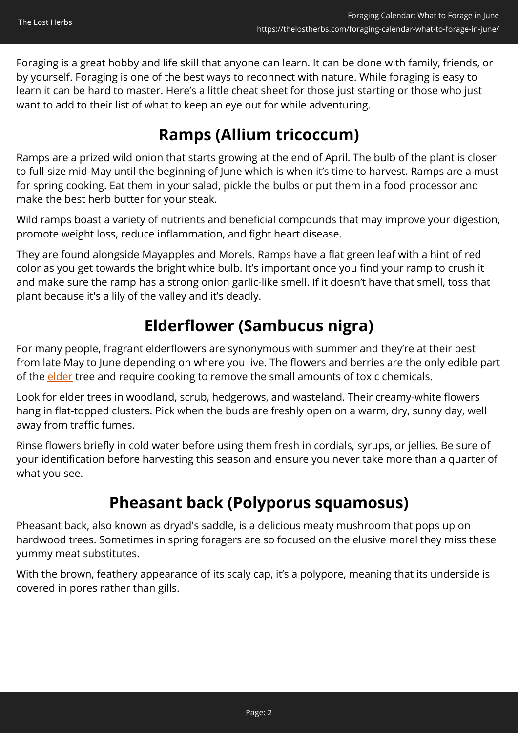Foraging is a great hobby and life skill that anyone can learn. It can be done with family, friends, or by yourself. Foraging is one of the best ways to reconnect with nature. While foraging is easy to learn it can be hard to master. Here's a little cheat sheet for those just starting or those who just want to add to their list of what to keep an eye out for while adventuring.

### **Ramps (Allium tricoccum)**

Ramps are a prized wild onion that starts growing at the end of April. The bulb of the plant is closer to full-size mid-May until the beginning of June which is when it's time to harvest. Ramps are a must for spring cooking. Eat them in your salad, pickle the bulbs or put them in a food processor and make the best herb butter for your steak.

Wild ramps boast a variety of nutrients and beneficial compounds that may improve your digestion, promote weight loss, reduce inflammation, and fight heart disease.

They are found alongside Mayapples and Morels. Ramps have a flat green leaf with a hint of red color as you get towards the bright white bulb. It's important once you find your ramp to crush it and make sure the ramp has a strong onion garlic-like smell. If it doesn't have that smell, toss that plant because it's a lily of the valley and it's deadly.

#### **Elderflower (Sambucus nigra)**

For many people, fragrant elderflowers are synonymous with summer and they're at their best from late May to June depending on where you live. The flowers and berries are the only edible part of the **[elder](https://www.woodlandtrust.org.uk/trees-woods-and-wildlife/british-trees/a-z-of-british-trees/elder/)** tree and require cooking to remove the small amounts of toxic chemicals.

Look for elder trees in woodland, scrub, hedgerows, and wasteland. Their creamy-white flowers hang in flat-topped clusters. Pick when the buds are freshly open on a warm, dry, sunny day, well away from traffic fumes.

Rinse flowers briefly in cold water before using them fresh in cordials, syrups, or jellies. Be sure of your identification before harvesting this season and ensure you never take more than a quarter of what you see.

### **Pheasant back (Polyporus squamosus)**

Pheasant back, also known as dryad's saddle, is a delicious meaty mushroom that pops up on hardwood trees. Sometimes in spring foragers are so focused on the elusive morel they miss these yummy meat substitutes.

With the brown, feathery appearance of its scaly cap, it's a polypore, meaning that its underside is covered in pores rather than gills.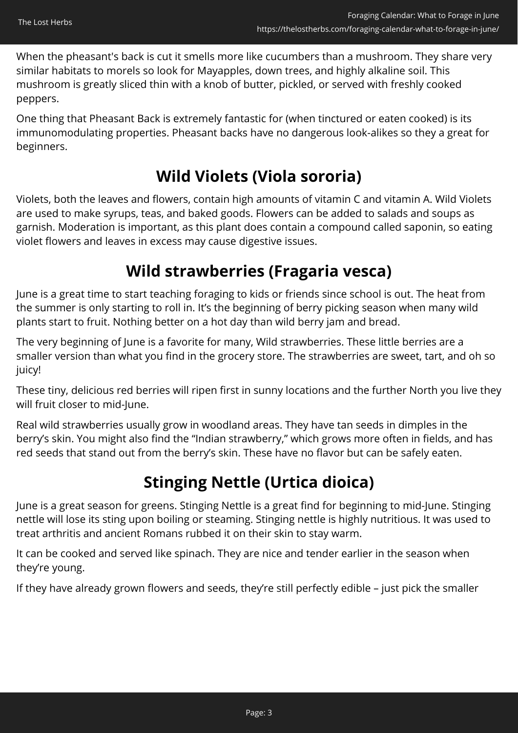When the pheasant's back is cut it smells more like cucumbers than a mushroom. They share very similar habitats to morels so look for Mayapples, down trees, and highly alkaline soil. This mushroom is greatly sliced thin with a knob of butter, pickled, or served with freshly cooked peppers.

One thing that Pheasant Back is extremely fantastic for (when tinctured or eaten cooked) is its immunomodulating properties. Pheasant backs have no dangerous look-alikes so they a great for beginners.

### **Wild Violets (Viola sororia)**

Violets, both the leaves and flowers, contain high amounts of vitamin C and vitamin A. Wild Violets are used to make syrups, teas, and baked goods. Flowers can be added to salads and soups as garnish. Moderation is important, as this plant does contain a compound called saponin, so eating violet flowers and leaves in excess may cause digestive issues.

### **Wild strawberries (Fragaria vesca)**

June is a great time to start teaching foraging to kids or friends since school is out. The heat from the summer is only starting to roll in. It's the beginning of berry picking season when many wild plants start to fruit. Nothing better on a hot day than wild berry jam and bread.

The very beginning of June is a favorite for many, Wild strawberries. These little berries are a smaller version than what you find in the grocery store. The strawberries are sweet, tart, and oh so juicy!

These tiny, delicious red berries will ripen first in sunny locations and the further North you live they will fruit closer to mid-June.

Real wild strawberries usually grow in woodland areas. They have tan seeds in dimples in the berry's skin. You might also find the "Indian strawberry," which grows more often in fields, and has red seeds that stand out from the berry's skin. These have no flavor but can be safely eaten.

### **Stinging Nettle (Urtica dioica)**

June is a great season for greens. Stinging Nettle is a great find for beginning to mid-June. Stinging nettle will lose its sting upon boiling or steaming. Stinging nettle is highly nutritious. It was used to treat arthritis and ancient Romans rubbed it on their skin to stay warm.

It can be cooked and served like spinach. They are nice and tender earlier in the season when they're young.

If they have already grown flowers and seeds, they're still perfectly edible – just pick the smaller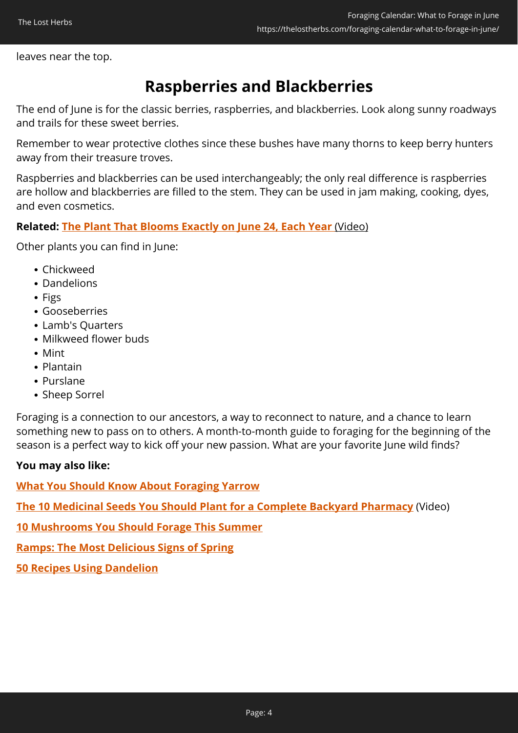leaves near the top.

### **Raspberries and Blackberries**

The end of June is for the classic berries, raspberries, and blackberries. Look along sunny roadways and trails for these sweet berries.

Remember to wear protective clothes since these bushes have many thorns to keep berry hunters away from their treasure troves.

Raspberries and blackberries can be used interchangeably; the only real difference is raspberries are hollow and blackberries are filled to the stem. They can be used in jam making, cooking, dyes, and even cosmetics.

#### **Related: [The Plant That Blooms Exactly on June 24, Each Year](https://hop.clickbank.net/?affiliate=easycellar&vendor=wfguide&tid=C02JuneForagingFGW1)** [\(Video\)](https://hop.clickbank.net/?affiliate=easycellar&vendor=wfguide&tid=C02JuneForagingFGW1)

Other plants you can find in June:

- Chickweed
- Dandelions
- Figs
- Gooseberries
- Lamb's Quarters
- Milkweed flower buds
- Mint
- Plantain
- Purslane
- Sheep Sorrel

Foraging is a connection to our ancestors, a way to reconnect to nature, and a chance to learn something new to pass on to others. A month-to-month guide to foraging for the beginning of the season is a perfect way to kick off your new passion. What are your favorite June wild finds?

#### **You may also like:**

**[What You Should Know About Foraging Yarrow](https://thelostherbs.com/what-you-should-know-about-foraging-yarrow/)**

**[The 10 Medicinal Seeds You Should Plant for a Complete Backyard Pharmacy](https://hop.clickbank.net/?affiliate=easycellar&vendor=bookofren&tid=C02JuneForagingMK)** (Video)

**[10 Mushrooms You Should Forage This Summer](https://thelostherbs.com/10-mushrooms-you-can-forage-this-summer/)**

**[Ramps: The Most Delicious Signs of Spring](https://thelostherbs.com/ramps-the-most-delicious-signs-of-spring/)**

**[50 Recipes Using Dandelion](https://thelostherbs.com/50-recipes-using-dandelion/)**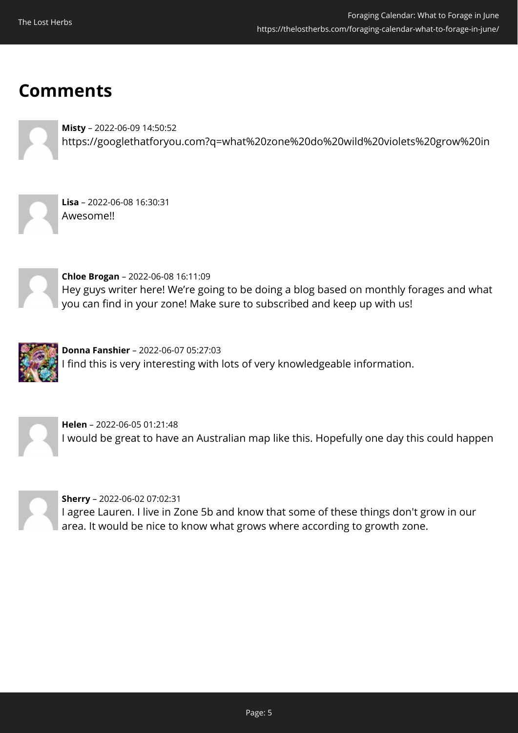## **Comments**



**Misty** – 2022-06-09 14:50:52 https://googlethatforyou.com?q=what%20zone%20do%20wild%20violets%20grow%20in



**Lisa** – 2022-06-08 16:30:31 Awesome!!



**Chloe Brogan** – 2022-06-08 16:11:09 Hey guys writer here! We're going to be doing a blog based on monthly forages and what you can find in your zone! Make sure to subscribed and keep up with us!



**Donna Fanshier** – 2022-06-07 05:27:03 I find this is very interesting with lots of very knowledgeable information.



**Helen** – 2022-06-05 01:21:48 I would be great to have an Australian map like this. Hopefully one day this could happen



**Sherry** – 2022-06-02 07:02:31 I agree Lauren. I live in Zone 5b and know that some of these things don't grow in our area. It would be nice to know what grows where according to growth zone.